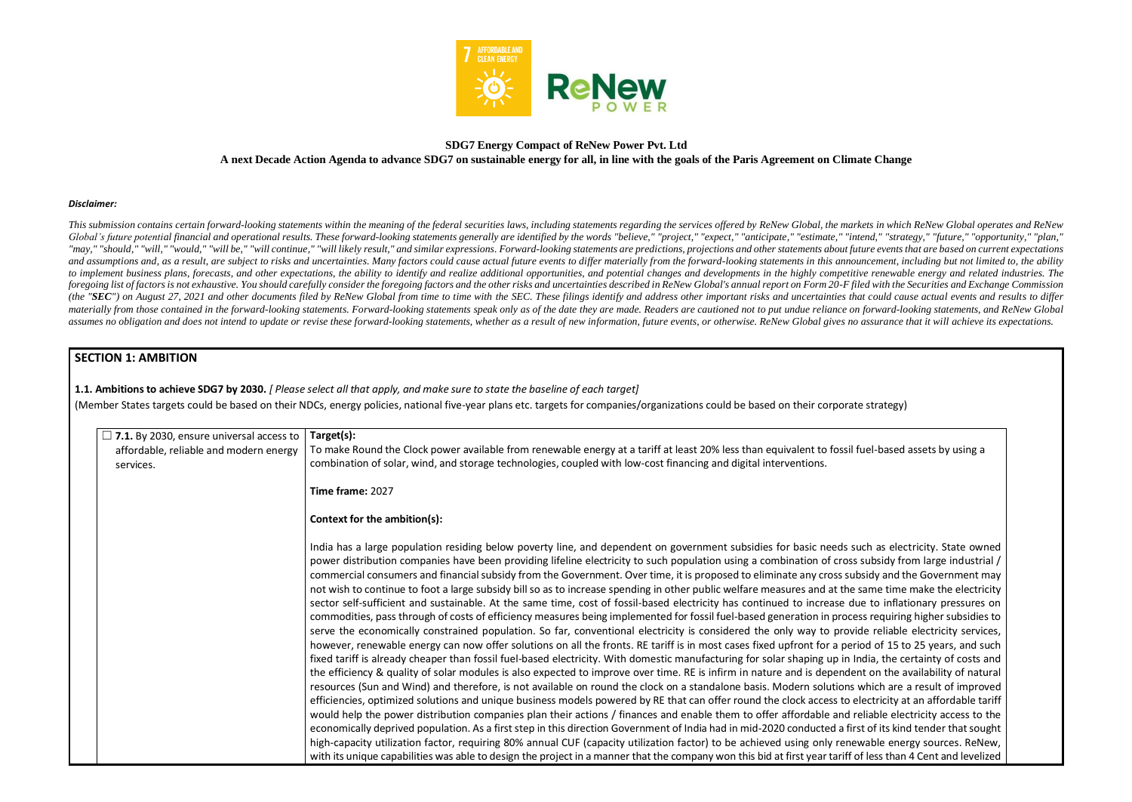

## **SDG7 Energy Compact of ReNew Power Pvt. Ltd A next Decade Action Agenda to advance SDG7 on sustainable energy for all, in line with the goals of the Paris Agreement on Climate Change**

#### *Disclaimer:*

This submission contains certain forward-looking statements within the meaning of the federal securities laws, including statements regarding the services offered by ReNew Global, the markets in which ReNew Global operates Global's future potential financial and operational results. These forward-looking statements generally are identified by the words "believe," "project," "expect," "anticipate," "estimate," "intend," "strategy," "future," "may," "should," "will," "would," "will be," "will continue," "will likely result," and similar expressions. Forward-looking statements are predictions, projections and other statements about future events that are based o and assumptions and, as a result, are subject to risks and uncertainties. Many factors could cause actual future events to differ materially from the forward-looking statements in this announcement, including but not limit to implement business plans, forecasts, and other expectations, the ability to identify and realize additional opportunities, and potential changes and developments in the highly competitive renewable energy and related in foregoing list of factors is not exhaustive. You should carefully consider the foregoing factors and the other risks and uncertainties described in ReNew Global's annual report on Form 20-F filed with the Securities and Ex (the "SEC") on August 27, 2021 and other documents filed by ReNew Global from time to time with the SEC. These filings identify and address other important risks and uncertainties that could cause actual events and results materially from those contained in the forward-looking statements. Forward-looking statements speak only as of the date they are made. Readers are cautioned not to put undue reliance on forward-looking statements, and ReNe assumes no obligation and does not intend to update or revise these forward-looking statements, whether as a result of new information, future events, or otherwise. ReNew Global gives no assurance that it will achieve its

## **SECTION 1: AMBITION**

**1.1. Ambitions to achieve SDG7 by 2030.** *[ Please select all that apply, and make sure to state the baseline of each target]* 

(Member States targets could be based on their NDCs, energy policies, national five-year plans etc. targets for companies/organizations could be based on their corporate strategy)

| $\Box$ 7.1. By 2030, ensure universal access to | Target(s):                                                                                                                                                                                                                                                                                                                                                                                                                                                                                                                                                                                                                                                                                                                                                                                                                                                                                                                                                                                                                                                                                                                                                                                                                                                                                                                                                                                                                                                                                                                                                                                                                                                                                                                                                                                                                                                                                                                                                                                                   |
|-------------------------------------------------|--------------------------------------------------------------------------------------------------------------------------------------------------------------------------------------------------------------------------------------------------------------------------------------------------------------------------------------------------------------------------------------------------------------------------------------------------------------------------------------------------------------------------------------------------------------------------------------------------------------------------------------------------------------------------------------------------------------------------------------------------------------------------------------------------------------------------------------------------------------------------------------------------------------------------------------------------------------------------------------------------------------------------------------------------------------------------------------------------------------------------------------------------------------------------------------------------------------------------------------------------------------------------------------------------------------------------------------------------------------------------------------------------------------------------------------------------------------------------------------------------------------------------------------------------------------------------------------------------------------------------------------------------------------------------------------------------------------------------------------------------------------------------------------------------------------------------------------------------------------------------------------------------------------------------------------------------------------------------------------------------------------|
| affordable, reliable and modern energy          | To make Round the Clock power available from renewable energy at a tariff at least 20% less than equivalent to fossil                                                                                                                                                                                                                                                                                                                                                                                                                                                                                                                                                                                                                                                                                                                                                                                                                                                                                                                                                                                                                                                                                                                                                                                                                                                                                                                                                                                                                                                                                                                                                                                                                                                                                                                                                                                                                                                                                        |
| services.                                       | combination of solar, wind, and storage technologies, coupled with low-cost financing and digital interventions.                                                                                                                                                                                                                                                                                                                                                                                                                                                                                                                                                                                                                                                                                                                                                                                                                                                                                                                                                                                                                                                                                                                                                                                                                                                                                                                                                                                                                                                                                                                                                                                                                                                                                                                                                                                                                                                                                             |
|                                                 | Time frame: 2027                                                                                                                                                                                                                                                                                                                                                                                                                                                                                                                                                                                                                                                                                                                                                                                                                                                                                                                                                                                                                                                                                                                                                                                                                                                                                                                                                                                                                                                                                                                                                                                                                                                                                                                                                                                                                                                                                                                                                                                             |
|                                                 | Context for the ambition(s):                                                                                                                                                                                                                                                                                                                                                                                                                                                                                                                                                                                                                                                                                                                                                                                                                                                                                                                                                                                                                                                                                                                                                                                                                                                                                                                                                                                                                                                                                                                                                                                                                                                                                                                                                                                                                                                                                                                                                                                 |
|                                                 | India has a large population residing below poverty line, and dependent on government subsidies for basic needs s<br>power distribution companies have been providing lifeline electricity to such population using a combination of cros<br>commercial consumers and financial subsidy from the Government. Over time, it is proposed to eliminate any cross su<br>not wish to continue to foot a large subsidy bill so as to increase spending in other public welfare measures and at the<br>sector self-sufficient and sustainable. At the same time, cost of fossil-based electricity has continued to increase d<br>commodities, pass through of costs of efficiency measures being implemented for fossil fuel-based generation in proce<br>serve the economically constrained population. So far, conventional electricity is considered the only way to prov<br>however, renewable energy can now offer solutions on all the fronts. RE tariff is in most cases fixed upfront for a per<br>fixed tariff is already cheaper than fossil fuel-based electricity. With domestic manufacturing for solar shaping up in<br>the efficiency & quality of solar modules is also expected to improve over time. RE is infirm in nature and is depende<br>resources (Sun and Wind) and therefore, is not available on round the clock on a standalone basis. Modern solutions<br>efficiencies, optimized solutions and unique business models powered by RE that can offer round the clock access to<br>would help the power distribution companies plan their actions / finances and enable them to offer affordable and<br>economically deprived population. As a first step in this direction Government of India had in mid-2020 conducted a fir<br>high-capacity utilization factor, requiring 80% annual CUF (capacity utilization factor) to be achieved using only rene<br>with its unique capabilities was able to design the project in a manner that the company won this bid at first year tariff |

I fuel-based assets by using a

such as electricity. State owned s subsidy from large industrial / absidy and the Government may same time make the electricity due to inflationary pressures on cess requiring higher subsidies to vide reliable electricity services, eriod of 15 to 25 years, and such India, the certainty of costs and ent on the availability of natural which are a result of improved electricity at an affordable tariff reliable electricity access to the irst of its kind tender that sought ewable energy sources. ReNew, of less than 4 Cent and levelized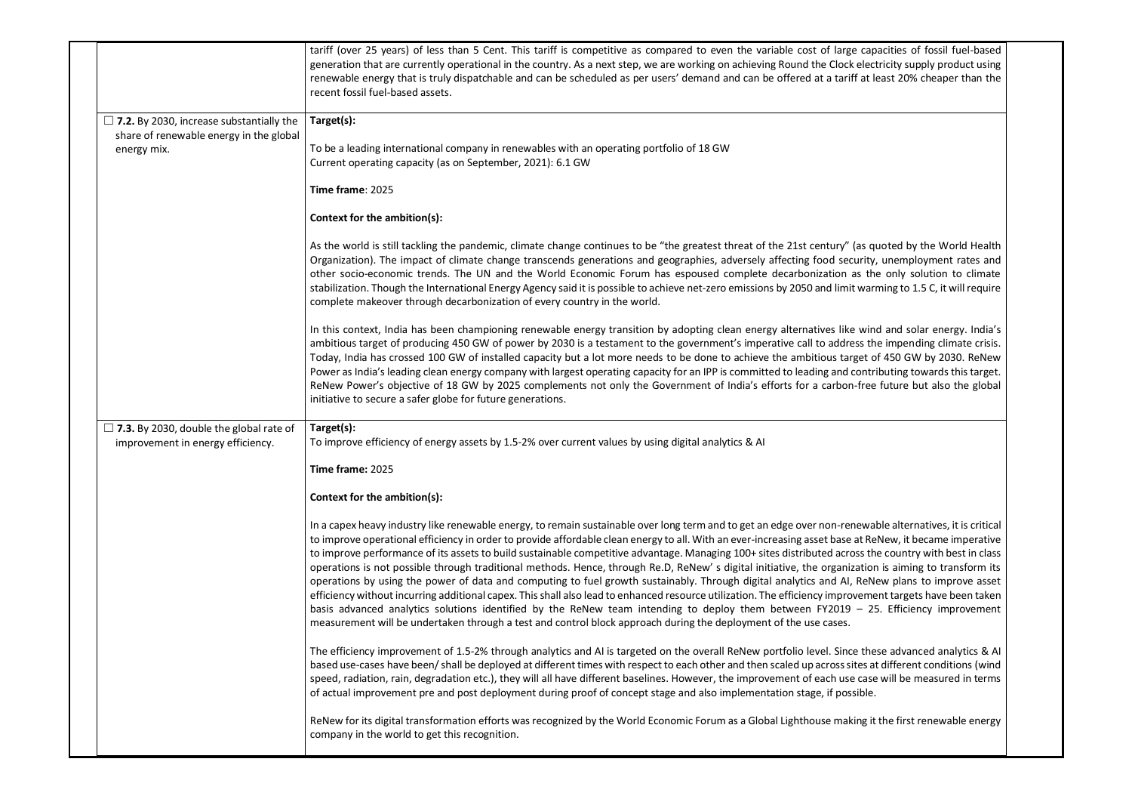|                                                                                     | tariff (over 25 years) of less than 5 Cent. This tariff is competitive as compared to even the variable cost of large cap<br>generation that are currently operational in the country. As a next step, we are working on achieving Round the Clock elec<br>renewable energy that is truly dispatchable and can be scheduled as per users' demand and can be offered at a tariff at I<br>recent fossil fuel-based assets.                                                                                                                                                                                                                                                                                                                                                                                                                                                                                                                                                                                               |
|-------------------------------------------------------------------------------------|------------------------------------------------------------------------------------------------------------------------------------------------------------------------------------------------------------------------------------------------------------------------------------------------------------------------------------------------------------------------------------------------------------------------------------------------------------------------------------------------------------------------------------------------------------------------------------------------------------------------------------------------------------------------------------------------------------------------------------------------------------------------------------------------------------------------------------------------------------------------------------------------------------------------------------------------------------------------------------------------------------------------|
| $\Box$ 7.2. By 2030, increase substantially the                                     | Target(s):                                                                                                                                                                                                                                                                                                                                                                                                                                                                                                                                                                                                                                                                                                                                                                                                                                                                                                                                                                                                             |
| share of renewable energy in the global<br>energy mix.                              | To be a leading international company in renewables with an operating portfolio of 18 GW<br>Current operating capacity (as on September, 2021): 6.1 GW                                                                                                                                                                                                                                                                                                                                                                                                                                                                                                                                                                                                                                                                                                                                                                                                                                                                 |
|                                                                                     | Time frame: 2025                                                                                                                                                                                                                                                                                                                                                                                                                                                                                                                                                                                                                                                                                                                                                                                                                                                                                                                                                                                                       |
|                                                                                     | Context for the ambition(s):                                                                                                                                                                                                                                                                                                                                                                                                                                                                                                                                                                                                                                                                                                                                                                                                                                                                                                                                                                                           |
|                                                                                     | As the world is still tackling the pandemic, climate change continues to be "the greatest threat of the 21st century" (as q<br>Organization). The impact of climate change transcends generations and geographies, adversely affecting food security<br>other socio-economic trends. The UN and the World Economic Forum has espoused complete decarbonization as th<br>stabilization. Though the International Energy Agency said it is possible to achieve net-zero emissions by 2050 and limit war<br>complete makeover through decarbonization of every country in the world.                                                                                                                                                                                                                                                                                                                                                                                                                                      |
|                                                                                     | In this context, India has been championing renewable energy transition by adopting clean energy alternatives like win<br>ambitious target of producing 450 GW of power by 2030 is a testament to the government's imperative call to address th<br>Today, India has crossed 100 GW of installed capacity but a lot more needs to be done to achieve the ambitious target o<br>Power as India's leading clean energy company with largest operating capacity for an IPP is committed to leading and contr<br>ReNew Power's objective of 18 GW by 2025 complements not only the Government of India's efforts for a carbon-free<br>initiative to secure a safer globe for future generations.                                                                                                                                                                                                                                                                                                                           |
| $\Box$ 7.3. By 2030, double the global rate of<br>improvement in energy efficiency. | Target(s):<br>To improve efficiency of energy assets by 1.5-2% over current values by using digital analytics & AI                                                                                                                                                                                                                                                                                                                                                                                                                                                                                                                                                                                                                                                                                                                                                                                                                                                                                                     |
|                                                                                     | Time frame: 2025                                                                                                                                                                                                                                                                                                                                                                                                                                                                                                                                                                                                                                                                                                                                                                                                                                                                                                                                                                                                       |
|                                                                                     | Context for the ambition(s):                                                                                                                                                                                                                                                                                                                                                                                                                                                                                                                                                                                                                                                                                                                                                                                                                                                                                                                                                                                           |
|                                                                                     | In a capex heavy industry like renewable energy, to remain sustainable over long term and to get an edge over non-renewa<br>to improve operational efficiency in order to provide affordable clean energy to all. With an ever-increasing asset base at Re<br>to improve performance of its assets to build sustainable competitive advantage. Managing 100+ sites distributed across th<br>operations is not possible through traditional methods. Hence, through Re.D, ReNew's digital initiative, the organization<br>operations by using the power of data and computing to fuel growth sustainably. Through digital analytics and AI, ReN<br>efficiency without incurring additional capex. This shall also lead to enhanced resource utilization. The efficiency improveme<br>basis advanced analytics solutions identified by the ReNew team intending to deploy them between FY2019 $-$ 2.<br>measurement will be undertaken through a test and control block approach during the deployment of the use cases. |
|                                                                                     | The efficiency improvement of 1.5-2% through analytics and AI is targeted on the overall ReNew portfolio level. Since the<br>based use-cases have been/shall be deployed at different times with respect to each other and then scaled up across sites a<br>speed, radiation, rain, degradation etc.), they will all have different baselines. However, the improvement of each use case<br>of actual improvement pre and post deployment during proof of concept stage and also implementation stage, if possible.                                                                                                                                                                                                                                                                                                                                                                                                                                                                                                    |
|                                                                                     | ReNew for its digital transformation efforts was recognized by the World Economic Forum as a Global Lighthouse making it<br>company in the world to get this recognition.                                                                                                                                                                                                                                                                                                                                                                                                                                                                                                                                                                                                                                                                                                                                                                                                                                              |

e capacities of fossil fuel-based  $\kappa$  electricity supply product using ff at least 20% cheaper than the

(as quoted by the World Health curity, unemployment rates and as the only solution to climate t warming to 1.5 C, it will require

In this context changions india is adopting transition in this context in this wind and solar energy. India ess the impending climate crisis. rget of 450 GW by 2030. ReNew contributing towards this target. n-free future but also the global

newable alternatives, it is critical at ReNew, it became imperative oss the country with best in class zation is aiming to transform its , ReNew plans to improve asset wement targets have been taken - 25. Efficiency improvement

the the efficience analytics  $\&$  AI is targeted analytics  $\&$  AI ites at different conditions (wind ecase will be measured in terms.

king it the first renewable energy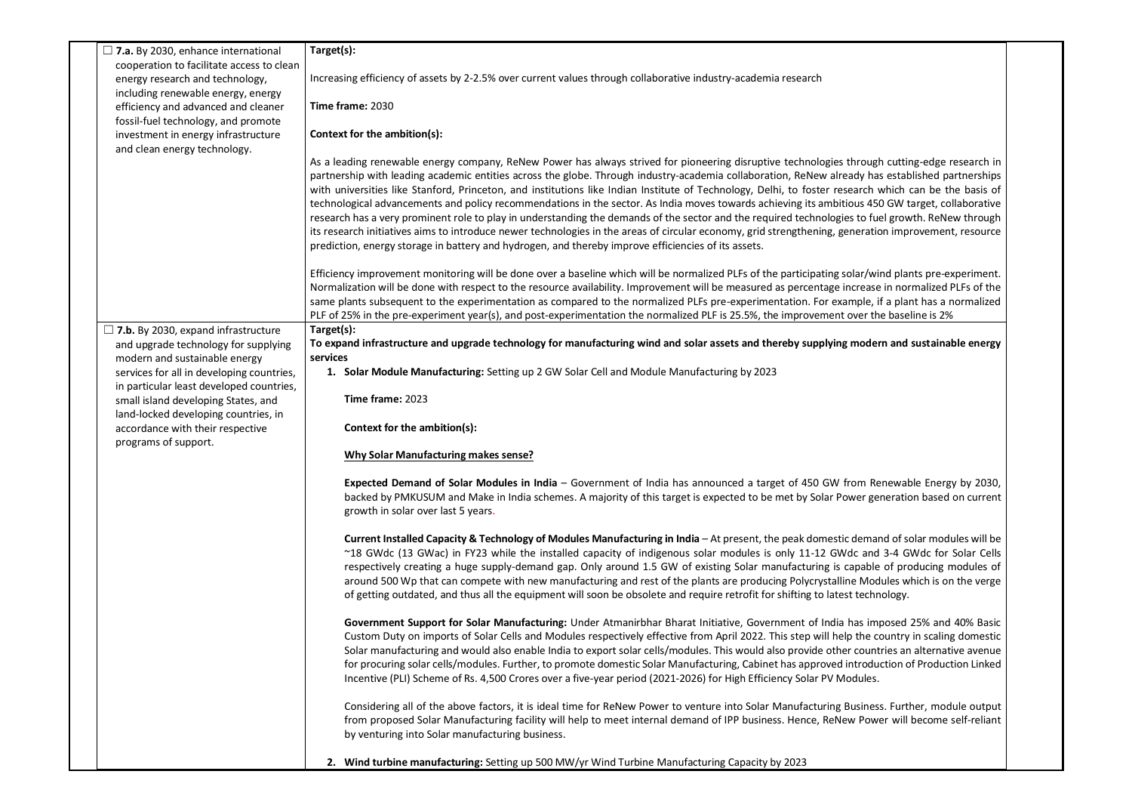| $\Box$ 7.a. By 2030, enhance international                                         | Target(s):                                                                                                                                                                                                                                            |
|------------------------------------------------------------------------------------|-------------------------------------------------------------------------------------------------------------------------------------------------------------------------------------------------------------------------------------------------------|
| cooperation to facilitate access to clean                                          |                                                                                                                                                                                                                                                       |
| energy research and technology,                                                    | Increasing efficiency of assets by 2-2.5% over current values through collaborative industry-academia research                                                                                                                                        |
| including renewable energy, energy                                                 |                                                                                                                                                                                                                                                       |
| efficiency and advanced and cleaner                                                | Time frame: 2030                                                                                                                                                                                                                                      |
| fossil-fuel technology, and promote                                                |                                                                                                                                                                                                                                                       |
| investment in energy infrastructure                                                | Context for the ambition(s):                                                                                                                                                                                                                          |
| and clean energy technology.                                                       |                                                                                                                                                                                                                                                       |
|                                                                                    | As a leading renewable energy company, ReNew Power has always strived for pioneering disruptive technologies throug                                                                                                                                   |
|                                                                                    | partnership with leading academic entities across the globe. Through industry-academia collaboration, ReNew already ha<br>with universities like Stanford, Princeton, and institutions like Indian Institute of Technology, Delhi, to foster research |
|                                                                                    | technological advancements and policy recommendations in the sector. As India moves towards achieving its ambitious 45                                                                                                                                |
|                                                                                    | research has a very prominent role to play in understanding the demands of the sector and the required technologies to fu                                                                                                                             |
|                                                                                    | its research initiatives aims to introduce newer technologies in the areas of circular economy, grid strengthening, generation                                                                                                                        |
|                                                                                    | prediction, energy storage in battery and hydrogen, and thereby improve efficiencies of its assets.                                                                                                                                                   |
|                                                                                    | Efficiency improvement monitoring will be done over a baseline which will be normalized PLFs of the participating solar/wi                                                                                                                            |
|                                                                                    | Normalization will be done with respect to the resource availability. Improvement will be measured as percentage increase                                                                                                                             |
|                                                                                    | same plants subsequent to the experimentation as compared to the normalized PLFs pre-experimentation. For example, i                                                                                                                                  |
|                                                                                    | PLF of 25% in the pre-experiment year(s), and post-experimentation the normalized PLF is 25.5%, the improvement over the                                                                                                                              |
| $\Box$ 7.b. By 2030, expand infrastructure<br>and upgrade technology for supplying | Target(s):<br>To expand infrastructure and upgrade technology for manufacturing wind and solar assets and thereby supplying mode                                                                                                                      |
| modern and sustainable energy                                                      | services                                                                                                                                                                                                                                              |
| services for all in developing countries,                                          | 1. Solar Module Manufacturing: Setting up 2 GW Solar Cell and Module Manufacturing by 2023                                                                                                                                                            |
| in particular least developed countries,<br>small island developing States, and    | Time frame: 2023                                                                                                                                                                                                                                      |
| land-locked developing countries, in                                               |                                                                                                                                                                                                                                                       |
| accordance with their respective                                                   | Context for the ambition(s):                                                                                                                                                                                                                          |
| programs of support.                                                               |                                                                                                                                                                                                                                                       |
|                                                                                    | <b>Why Solar Manufacturing makes sense?</b>                                                                                                                                                                                                           |
|                                                                                    | Expected Demand of Solar Modules in India - Government of India has announced a target of 450 GW from Re                                                                                                                                              |
|                                                                                    | backed by PMKUSUM and Make in India schemes. A majority of this target is expected to be met by Solar Power ge<br>growth in solar over last 5 years.                                                                                                  |
|                                                                                    |                                                                                                                                                                                                                                                       |
|                                                                                    | Current Installed Capacity & Technology of Modules Manufacturing in India - At present, the peak domestic dema                                                                                                                                        |
|                                                                                    | ~18 GWdc (13 GWac) in FY23 while the installed capacity of indigenous solar modules is only 11-12 GWdc and                                                                                                                                            |
|                                                                                    | respectively creating a huge supply-demand gap. Only around 1.5 GW of existing Solar manufacturing is capable                                                                                                                                         |
|                                                                                    | around 500 Wp that can compete with new manufacturing and rest of the plants are producing Polycrystalline Moc                                                                                                                                        |
|                                                                                    | of getting outdated, and thus all the equipment will soon be obsolete and require retrofit for shifting to latest techr                                                                                                                               |
|                                                                                    | Government Support for Solar Manufacturing: Under Atmanirbhar Bharat Initiative, Government of India has im                                                                                                                                           |
|                                                                                    | Custom Duty on imports of Solar Cells and Modules respectively effective from April 2022. This step will help the c                                                                                                                                   |
|                                                                                    | Solar manufacturing and would also enable India to export solar cells/modules. This would also provide other count                                                                                                                                    |
|                                                                                    | for procuring solar cells/modules. Further, to promote domestic Solar Manufacturing, Cabinet has approved introdu                                                                                                                                     |
|                                                                                    | Incentive (PLI) Scheme of Rs. 4,500 Crores over a five-year period (2021-2026) for High Efficiency Solar PV Modules.                                                                                                                                  |
|                                                                                    | Considering all of the above factors, it is ideal time for ReNew Power to venture into Solar Manufacturing Busines                                                                                                                                    |
|                                                                                    | from proposed Solar Manufacturing facility will help to meet internal demand of IPP business. Hence, ReNew Pow                                                                                                                                        |
|                                                                                    | by venturing into Solar manufacturing business.                                                                                                                                                                                                       |
|                                                                                    | 2. Wind turbine manufacturing: Setting up 500 MW/yr Wind Turbine Manufacturing Capacity by 2023                                                                                                                                                       |

Arough cutting-edge research in dy has established partnerships arch which can be the basis of us 450 GW target, collaborative to fuel growth. ReNew through eration improvement, resource

lar/wind plants pre-experiment. crease in normalized PLFs of the nple, if a plant has a normalized ver the baseline is 2%

**The and sustainable energy indernal** 

**Expected Demand Solar Modern Solar Energy by 2030,** ver generation based on current

demand of solar modules will be and 3-4 GWdc for Solar Cells pable of producing modules of  $e$  Modules which is on the verge technology.

as imposed 25% and 40% Basic the country in scaling domestic countries an alternative avenue troduction of Production Linked

isiness. Further, module output Power will become self-reliant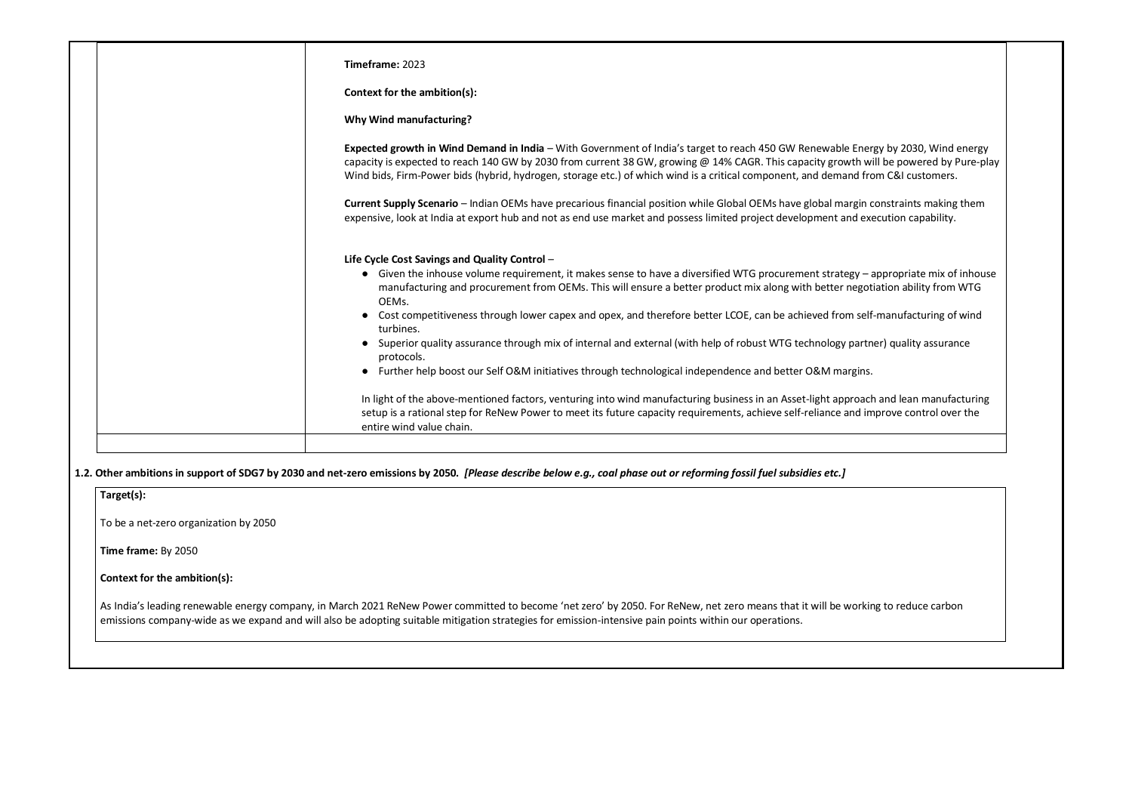| Timeframe: 2023                                                                                                                                                                                                                                                                                                                                                                                                  |
|------------------------------------------------------------------------------------------------------------------------------------------------------------------------------------------------------------------------------------------------------------------------------------------------------------------------------------------------------------------------------------------------------------------|
| Context for the ambition(s):                                                                                                                                                                                                                                                                                                                                                                                     |
| <b>Why Wind manufacturing?</b>                                                                                                                                                                                                                                                                                                                                                                                   |
| Expected growth in Wind Demand in India - With Government of India's target to reach 450 GW Renewable Energy by 2030, Wind energy<br>capacity is expected to reach 140 GW by 2030 from current 38 GW, growing @ 14% CAGR. This capacity growth will be powered by Pure-play<br>Wind bids, Firm-Power bids (hybrid, hydrogen, storage etc.) of which wind is a critical component, and demand from C&I customers. |
| Current Supply Scenario - Indian OEMs have precarious financial position while Global OEMs have global margin constraints making them<br>expensive, look at India at export hub and not as end use market and possess limited project development and execution capability.                                                                                                                                      |
| Life Cycle Cost Savings and Quality Control -                                                                                                                                                                                                                                                                                                                                                                    |
| • Given the inhouse volume requirement, it makes sense to have a diversified WTG procurement strategy – appropriate mix of inhouse<br>manufacturing and procurement from OEMs. This will ensure a better product mix along with better negotiation ability from WTG<br>OEMs.                                                                                                                                     |
| Cost competitiveness through lower capex and opex, and therefore better LCOE, can be achieved from self-manufacturing of wind<br>turbines.                                                                                                                                                                                                                                                                       |
| Superior quality assurance through mix of internal and external (with help of robust WTG technology partner) quality assurance<br>protocols.                                                                                                                                                                                                                                                                     |
| Further help boost our Self O&M initiatives through technological independence and better O&M margins.                                                                                                                                                                                                                                                                                                           |
| In light of the above-mentioned factors, venturing into wind manufacturing business in an Asset-light approach and lean manufacturing<br>setup is a rational step for ReNew Power to meet its future capacity requirements, achieve self-reliance and improve control over the                                                                                                                                   |
| entire wind value chain.                                                                                                                                                                                                                                                                                                                                                                                         |

emissions company-wide as we expand and will also be adopting suitable mitigation strategies for emission-intensive pain points within our operations.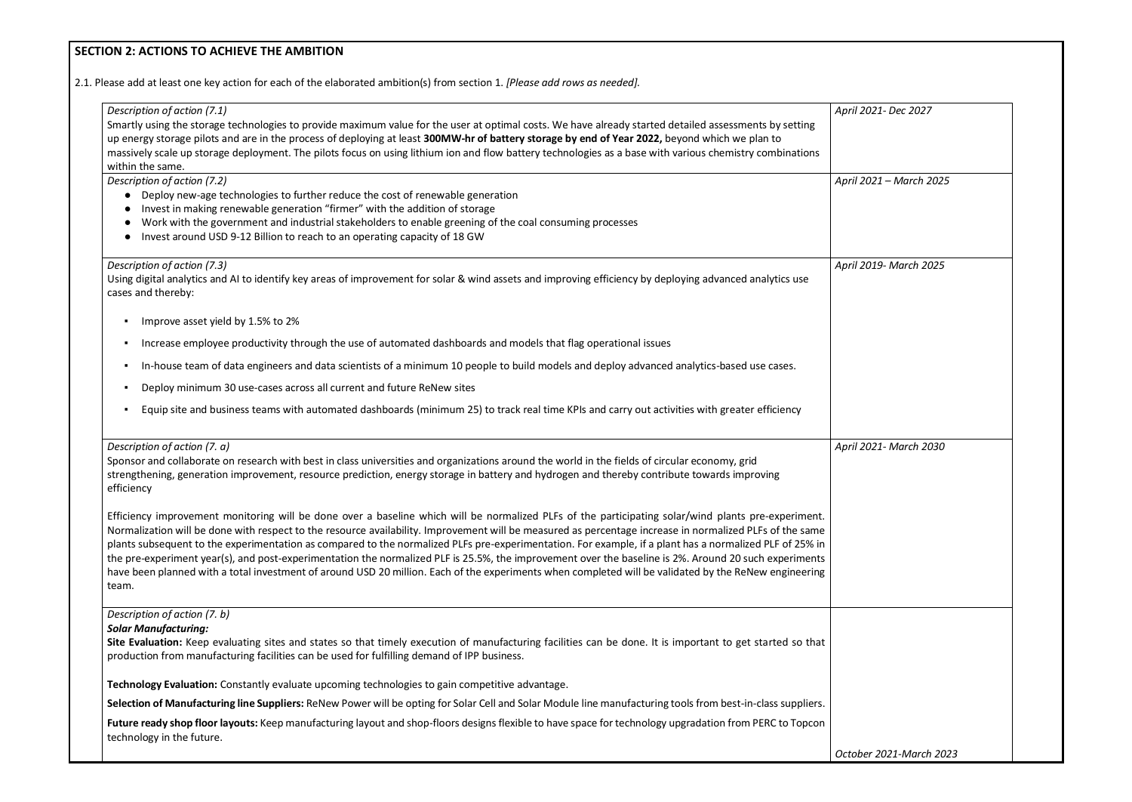# **SECTION 2: ACTIONS TO ACHIEVE THE AMBITION**

| Smartly using the storage technologies to provide maximum value for the user at optimal costs. We have already started detailed assessments by setting<br>up energy storage pilots and are in the process of deploying at least 300MW-hr of battery storage by end of Year 2022, beyond which we plan to<br>massively scale up storage deployment. The pilots focus on using lithium ion and flow battery technologies as a base with various chemistry combinations<br>within the same.<br>Description of action (7.2)<br>• Deploy new-age technologies to further reduce the cost of renewable generation<br>Invest in making renewable generation "firmer" with the addition of storage<br>Work with the government and industrial stakeholders to enable greening of the coal consuming processes<br>Invest around USD 9-12 Billion to reach to an operating capacity of 18 GW<br>Description of action (7.3)<br>Using digital analytics and AI to identify key areas of improvement for solar & wind assets and improving efficiency by deploying advanced analytics use<br>cases and thereby:<br>Improve asset yield by 1.5% to 2%<br>п<br>Increase employee productivity through the use of automated dashboards and models that flag operational issues<br>In-house team of data engineers and data scientists of a minimum 10 people to build models and deploy advanced analytics-based use cases.<br>Deploy minimum 30 use-cases across all current and future ReNew sites<br>Equip site and business teams with automated dashboards (minimum 25) to track real time KPIs and carry out activities with greater efficiency<br>п<br>Description of action (7. a)<br>Sponsor and collaborate on research with best in class universities and organizations around the world in the fields of circular economy, grid<br>strengthening, generation improvement, resource prediction, energy storage in battery and hydrogen and thereby contribute towards improving<br>efficiency<br>Efficiency improvement monitoring will be done over a baseline which will be normalized PLFs of the participating solar/wind plants pre-experiment.<br>Normalization will be done with respect to the resource availability. Improvement will be measured as percentage increase in normalized PLFs of the same<br>plants subsequent to the experimentation as compared to the normalized PLFs pre-experimentation. For example, if a plant has a normalized PLF of 25% in<br>the pre-experiment year(s), and post-experimentation the normalized PLF is 25.5%, the improvement over the baseline is 2%. Around 20 such experiments<br>have been planned with a total investment of around USD 20 million. Each of the experiments when completed will be validated by the ReNew engineering<br>team.<br>Description of action (7. b)<br><b>Solar Manufacturing:</b><br>Site Evaluation: Keep evaluating sites and states so that timely execution of manufacturing facilities can be done. It is important to get started so that<br>production from manufacturing facilities can be used for fulfilling demand of IPP business.<br>Technology Evaluation: Constantly evaluate upcoming technologies to gain competitive advantage. | April 2021- Dec 2027    |
|------------------------------------------------------------------------------------------------------------------------------------------------------------------------------------------------------------------------------------------------------------------------------------------------------------------------------------------------------------------------------------------------------------------------------------------------------------------------------------------------------------------------------------------------------------------------------------------------------------------------------------------------------------------------------------------------------------------------------------------------------------------------------------------------------------------------------------------------------------------------------------------------------------------------------------------------------------------------------------------------------------------------------------------------------------------------------------------------------------------------------------------------------------------------------------------------------------------------------------------------------------------------------------------------------------------------------------------------------------------------------------------------------------------------------------------------------------------------------------------------------------------------------------------------------------------------------------------------------------------------------------------------------------------------------------------------------------------------------------------------------------------------------------------------------------------------------------------------------------------------------------------------------------------------------------------------------------------------------------------------------------------------------------------------------------------------------------------------------------------------------------------------------------------------------------------------------------------------------------------------------------------------------------------------------------------------------------------------------------------------------------------------------------------------------------------------------------------------------------------------------------------------------------------------------------------------------------------------------------------------------------------------------------------------------------------------------------------------------------------------------------------------------------------------------------------------------------------------------------------------------------------------------------------------------------------------------------------------------------------------------------------------------------------------------------------------------------------------------------------------------------------------------------------------------------------------------------------------------------|-------------------------|
|                                                                                                                                                                                                                                                                                                                                                                                                                                                                                                                                                                                                                                                                                                                                                                                                                                                                                                                                                                                                                                                                                                                                                                                                                                                                                                                                                                                                                                                                                                                                                                                                                                                                                                                                                                                                                                                                                                                                                                                                                                                                                                                                                                                                                                                                                                                                                                                                                                                                                                                                                                                                                                                                                                                                                                                                                                                                                                                                                                                                                                                                                                                                                                                                                                    |                         |
|                                                                                                                                                                                                                                                                                                                                                                                                                                                                                                                                                                                                                                                                                                                                                                                                                                                                                                                                                                                                                                                                                                                                                                                                                                                                                                                                                                                                                                                                                                                                                                                                                                                                                                                                                                                                                                                                                                                                                                                                                                                                                                                                                                                                                                                                                                                                                                                                                                                                                                                                                                                                                                                                                                                                                                                                                                                                                                                                                                                                                                                                                                                                                                                                                                    | April 2021 - March 2025 |
|                                                                                                                                                                                                                                                                                                                                                                                                                                                                                                                                                                                                                                                                                                                                                                                                                                                                                                                                                                                                                                                                                                                                                                                                                                                                                                                                                                                                                                                                                                                                                                                                                                                                                                                                                                                                                                                                                                                                                                                                                                                                                                                                                                                                                                                                                                                                                                                                                                                                                                                                                                                                                                                                                                                                                                                                                                                                                                                                                                                                                                                                                                                                                                                                                                    | April 2019- March 2025  |
|                                                                                                                                                                                                                                                                                                                                                                                                                                                                                                                                                                                                                                                                                                                                                                                                                                                                                                                                                                                                                                                                                                                                                                                                                                                                                                                                                                                                                                                                                                                                                                                                                                                                                                                                                                                                                                                                                                                                                                                                                                                                                                                                                                                                                                                                                                                                                                                                                                                                                                                                                                                                                                                                                                                                                                                                                                                                                                                                                                                                                                                                                                                                                                                                                                    |                         |
|                                                                                                                                                                                                                                                                                                                                                                                                                                                                                                                                                                                                                                                                                                                                                                                                                                                                                                                                                                                                                                                                                                                                                                                                                                                                                                                                                                                                                                                                                                                                                                                                                                                                                                                                                                                                                                                                                                                                                                                                                                                                                                                                                                                                                                                                                                                                                                                                                                                                                                                                                                                                                                                                                                                                                                                                                                                                                                                                                                                                                                                                                                                                                                                                                                    |                         |
|                                                                                                                                                                                                                                                                                                                                                                                                                                                                                                                                                                                                                                                                                                                                                                                                                                                                                                                                                                                                                                                                                                                                                                                                                                                                                                                                                                                                                                                                                                                                                                                                                                                                                                                                                                                                                                                                                                                                                                                                                                                                                                                                                                                                                                                                                                                                                                                                                                                                                                                                                                                                                                                                                                                                                                                                                                                                                                                                                                                                                                                                                                                                                                                                                                    |                         |
|                                                                                                                                                                                                                                                                                                                                                                                                                                                                                                                                                                                                                                                                                                                                                                                                                                                                                                                                                                                                                                                                                                                                                                                                                                                                                                                                                                                                                                                                                                                                                                                                                                                                                                                                                                                                                                                                                                                                                                                                                                                                                                                                                                                                                                                                                                                                                                                                                                                                                                                                                                                                                                                                                                                                                                                                                                                                                                                                                                                                                                                                                                                                                                                                                                    |                         |
|                                                                                                                                                                                                                                                                                                                                                                                                                                                                                                                                                                                                                                                                                                                                                                                                                                                                                                                                                                                                                                                                                                                                                                                                                                                                                                                                                                                                                                                                                                                                                                                                                                                                                                                                                                                                                                                                                                                                                                                                                                                                                                                                                                                                                                                                                                                                                                                                                                                                                                                                                                                                                                                                                                                                                                                                                                                                                                                                                                                                                                                                                                                                                                                                                                    |                         |
|                                                                                                                                                                                                                                                                                                                                                                                                                                                                                                                                                                                                                                                                                                                                                                                                                                                                                                                                                                                                                                                                                                                                                                                                                                                                                                                                                                                                                                                                                                                                                                                                                                                                                                                                                                                                                                                                                                                                                                                                                                                                                                                                                                                                                                                                                                                                                                                                                                                                                                                                                                                                                                                                                                                                                                                                                                                                                                                                                                                                                                                                                                                                                                                                                                    | April 2021- March 2030  |
|                                                                                                                                                                                                                                                                                                                                                                                                                                                                                                                                                                                                                                                                                                                                                                                                                                                                                                                                                                                                                                                                                                                                                                                                                                                                                                                                                                                                                                                                                                                                                                                                                                                                                                                                                                                                                                                                                                                                                                                                                                                                                                                                                                                                                                                                                                                                                                                                                                                                                                                                                                                                                                                                                                                                                                                                                                                                                                                                                                                                                                                                                                                                                                                                                                    |                         |
|                                                                                                                                                                                                                                                                                                                                                                                                                                                                                                                                                                                                                                                                                                                                                                                                                                                                                                                                                                                                                                                                                                                                                                                                                                                                                                                                                                                                                                                                                                                                                                                                                                                                                                                                                                                                                                                                                                                                                                                                                                                                                                                                                                                                                                                                                                                                                                                                                                                                                                                                                                                                                                                                                                                                                                                                                                                                                                                                                                                                                                                                                                                                                                                                                                    |                         |
|                                                                                                                                                                                                                                                                                                                                                                                                                                                                                                                                                                                                                                                                                                                                                                                                                                                                                                                                                                                                                                                                                                                                                                                                                                                                                                                                                                                                                                                                                                                                                                                                                                                                                                                                                                                                                                                                                                                                                                                                                                                                                                                                                                                                                                                                                                                                                                                                                                                                                                                                                                                                                                                                                                                                                                                                                                                                                                                                                                                                                                                                                                                                                                                                                                    |                         |
|                                                                                                                                                                                                                                                                                                                                                                                                                                                                                                                                                                                                                                                                                                                                                                                                                                                                                                                                                                                                                                                                                                                                                                                                                                                                                                                                                                                                                                                                                                                                                                                                                                                                                                                                                                                                                                                                                                                                                                                                                                                                                                                                                                                                                                                                                                                                                                                                                                                                                                                                                                                                                                                                                                                                                                                                                                                                                                                                                                                                                                                                                                                                                                                                                                    |                         |
| Selection of Manufacturing line Suppliers: ReNew Power will be opting for Solar Cell and Solar Module line manufacturing tools from best-in-class suppliers.                                                                                                                                                                                                                                                                                                                                                                                                                                                                                                                                                                                                                                                                                                                                                                                                                                                                                                                                                                                                                                                                                                                                                                                                                                                                                                                                                                                                                                                                                                                                                                                                                                                                                                                                                                                                                                                                                                                                                                                                                                                                                                                                                                                                                                                                                                                                                                                                                                                                                                                                                                                                                                                                                                                                                                                                                                                                                                                                                                                                                                                                       |                         |
| Future ready shop floor layouts: Keep manufacturing layout and shop-floors designs flexible to have space for technology upgradation from PERC to Topcon<br>technology in the future.                                                                                                                                                                                                                                                                                                                                                                                                                                                                                                                                                                                                                                                                                                                                                                                                                                                                                                                                                                                                                                                                                                                                                                                                                                                                                                                                                                                                                                                                                                                                                                                                                                                                                                                                                                                                                                                                                                                                                                                                                                                                                                                                                                                                                                                                                                                                                                                                                                                                                                                                                                                                                                                                                                                                                                                                                                                                                                                                                                                                                                              | October 2021-March 2023 |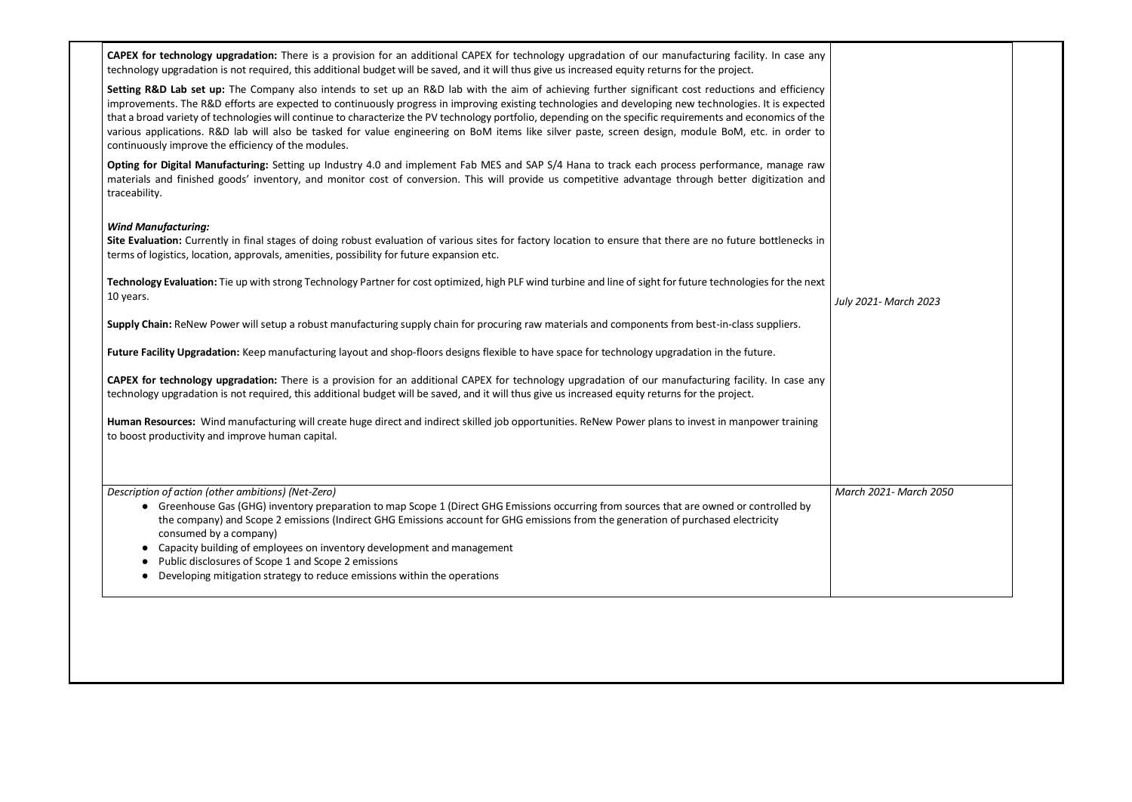**CAPEX for technology upgradation:** There is a provision for an additional CAPEX for technology upgradation of our manufacturing facility. In case any technology upgradation is not required, this additional budget will be saved, and it will thus give us increased equity returns for the project.

Setting R&D Lab set up: The Company also intends to set up an R&D lab with the aim of achieving further significant cost reductions and efficiency improvements. The R&D efforts are expected to continuously progress in improving existing technologies and developing new technologies. It is expected that a broad variety of technologies will continue to characterize the PV technology portfolio, depending on the specific requirements and economics of the various applications. R&D lab will also be tasked for value engineering on BoM items like silver paste, screen design, module BoM, etc. in order to continuously improve the efficiency of the modules.

**Opting for Digital Manufacturing:** Setting up Industry 4.0 and implement Fab MES and SAP S/4 Hana to track each process performance, manage raw materials and finished goods' inventory, and monitor cost of conversion. This will provide us competitive advantage through better digitization and traceability.

### *Wind Manufacturing:*

**Site Evaluation:** Currently in final stages of doing robust evaluation of various sites for factory location to ensure that there are no future bottlenecks in terms of logistics, location, approvals, amenities, possibility for future expansion etc.

- Greenhouse Gas (GHG) inventory preparation to map Scope 1 (Direct GHG Emissions occurring from sources that are owned or controlled by the company) and Scope 2 emissions (Indirect GHG Emissions account for GHG emissions from the generation of purchased electricity consumed by a company)
- Capacity building of employees on inventory development and management
- Public disclosures of Scope 1 and Scope 2 emissions
- Developing mitigation strategy to reduce emissions within the operations

**Technology Evaluation:** Tie up with strong Technology Partner for cost optimized, high PLF wind turbine and line of sight for future technologies for the next 10 years.

**Supply Chain:** ReNew Power will setup a robust manufacturing supply chain for procuring raw materials and components from best-in-class suppliers.

**Future Facility Upgradation:** Keep manufacturing layout and shop-floors designs flexible to have space for technology upgradation in the future.

**CAPEX for technology upgradation:** There is a provision for an additional CAPEX for technology upgradation of our manufacturing facility. In case any technology upgradation is not required, this additional budget will be saved, and it will thus give us increased equity returns for the project.

**Human Resources:** Wind manufacturing will create huge direct and indirect skilled job opportunities. ReNew Power plans to invest in manpower training to boost productivity and improve human capital.

*Description of action (other ambitions) (Net-Zero)*

*July 2021- March 2023 March 2021- March 2050*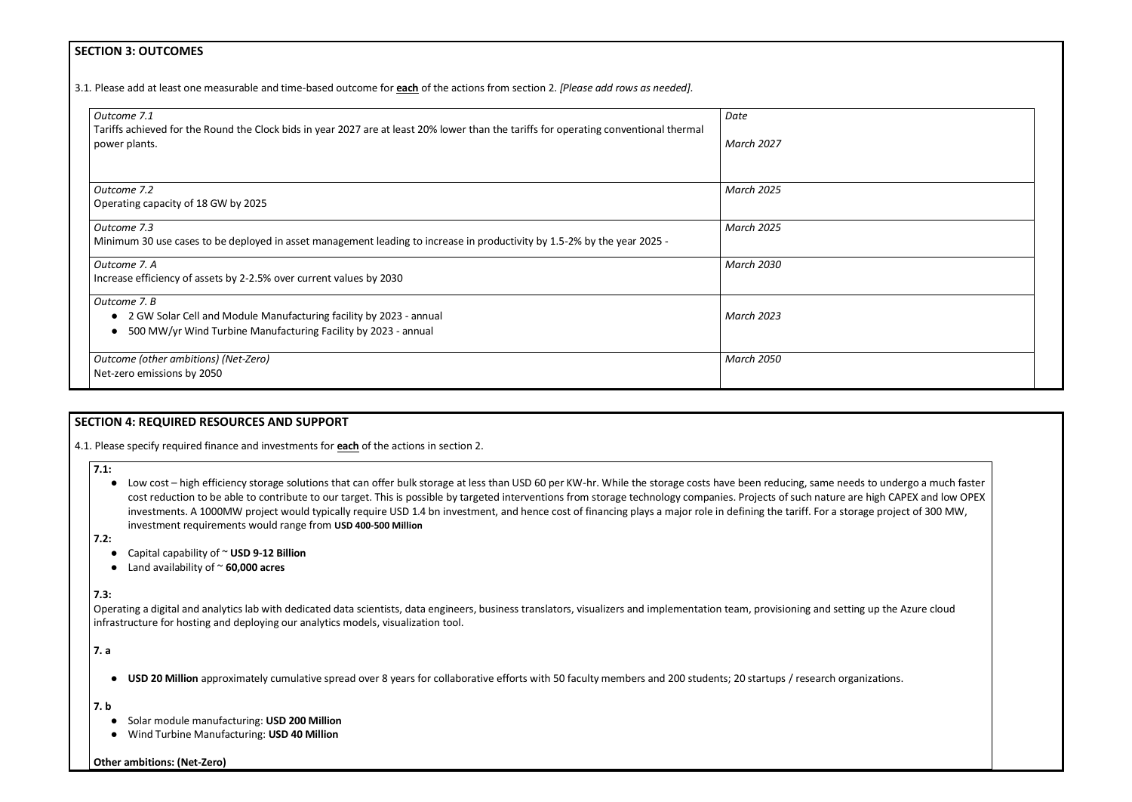## **SECTION 3: OUTCOMES**

3.1*.* Please add at least one measurable and time-based outcome for **each** of the actions from section 2. *[Please add rows as needed].*

| Outcome 7.1<br>Tariffs achieved for the Round the Clock bids in year 2027 are at least 20% lower than the tariffs for operating conventional thermal | Date              |
|------------------------------------------------------------------------------------------------------------------------------------------------------|-------------------|
| power plants.                                                                                                                                        | <b>March 2027</b> |
|                                                                                                                                                      |                   |
| Outcome 7.2                                                                                                                                          | <b>March 2025</b> |
| Operating capacity of 18 GW by 2025                                                                                                                  |                   |
| Outcome 7.3                                                                                                                                          | <b>March 2025</b> |
| Minimum 30 use cases to be deployed in asset management leading to increase in productivity by 1.5-2% by the year 2025 -                             |                   |
| Outcome 7. A                                                                                                                                         | <b>March 2030</b> |
| Increase efficiency of assets by 2-2.5% over current values by 2030                                                                                  |                   |
| Outcome 7. B                                                                                                                                         |                   |
| 2 GW Solar Cell and Module Manufacturing facility by 2023 - annual<br>$\bullet$                                                                      | <b>March 2023</b> |
| 500 MW/yr Wind Turbine Manufacturing Facility by 2023 - annual<br>$\bullet$                                                                          |                   |
| Outcome (other ambitions) (Net-Zero)                                                                                                                 | <b>March 2050</b> |
| Net-zero emissions by 2050                                                                                                                           |                   |

● Low cost – high efficiency storage solutions that can offer bulk storage at less than USD 60 per KW-hr. While the storage costs have been reducing, same needs to undergo a much faster cost reduction to be able to contribute to our target. This is possible by targeted interventions from storage technology companies. Projects of such nature are high CAPEX and low OPEX investments. A 1000MW project would typically require USD 1.4 bn investment, and hence cost of financing plays a major role in defining the tariff. For a storage project of 300 MW, investment requirements would range from **USD 400-500 Million**

## **SECTION 4: REQUIRED RESOURCES AND SUPPORT**

4.1. Please specify required finance and investments for **each** of the actions in section 2.

**7.1:**

**7.2:**

- Capital capability of ~ **USD 9-12 Billion**
- Land availability of ~ **60,000 acres**

**7.3:**

Operating a digital and analytics lab with dedicated data scientists, data engineers, business translators, visualizers and implementation team, provisioning and setting up the Azure cloud infrastructure for hosting and deploying our analytics models, visualization tool.

**7. a**

● **USD 20 Million** approximately cumulative spread over 8 years for collaborative efforts with 50 faculty members and 200 students; 20 startups / research organizations.

**7. b**

- Solar module manufacturing: **USD 200 Million**
- Wind Turbine Manufacturing: **USD 40 Million**

**Other ambitions: (Net-Zero)**

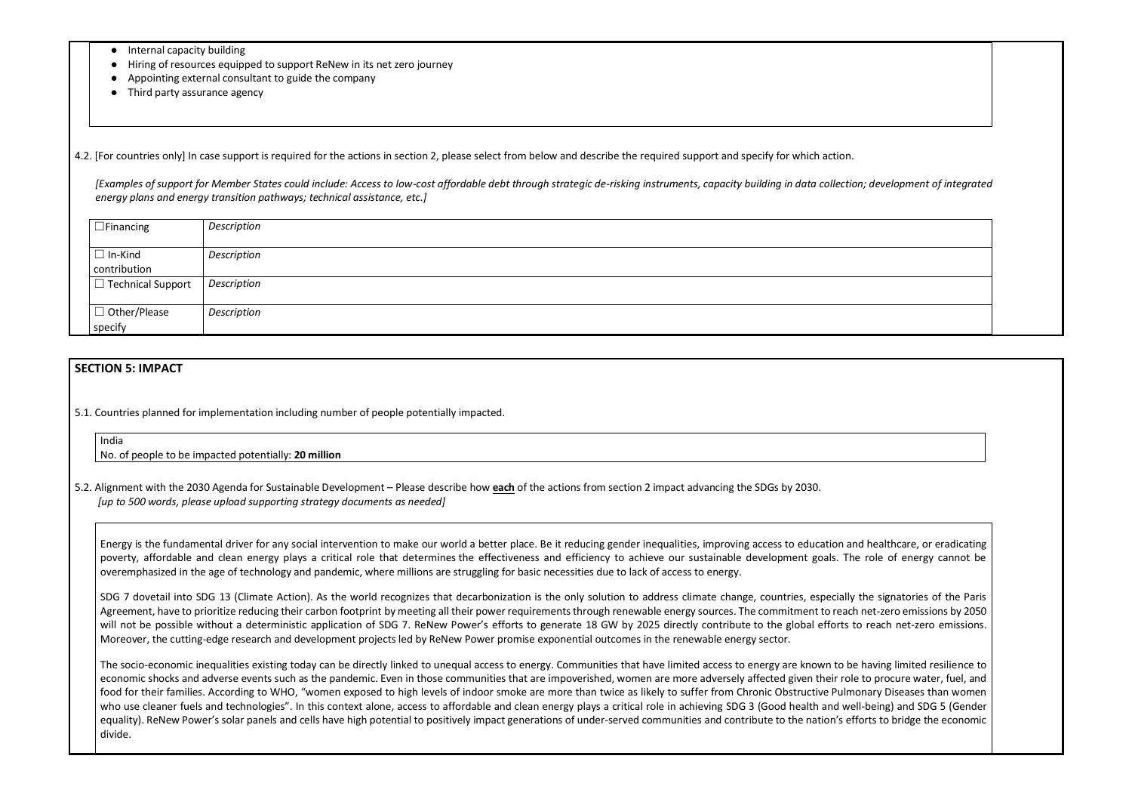- Internal capacity building
- Hiring of resources equipped to support ReNew in its net zero journey
- Appointing external consultant to guide the company
- Third party assurance agency

4.2. [For countries only] In case support is required for the actions in section 2, please select from below and describe the required support and specify for which action.

*[Examples of support for Member States could include: Access to low-cost affordable debt through strategic de-risking instruments, capacity building in data collection; development of integrated energy plans and energy transition pathways; technical assistance, etc.]*

| $\Box$ Financing         | Description |
|--------------------------|-------------|
|                          |             |
| $\Box$ In-Kind           | Description |
| contribution             |             |
| $\Box$ Technical Support | Description |
|                          |             |
| $\Box$ Other/Please      | Description |
| specify                  |             |

## **SECTION 5: IMPACT**

5.1. Countries planned for implementation including number of people potentially impacted.

#### India

No. of people to be impacted potentially: **20 million**

5.2. Alignment with the 2030 Agenda for Sustainable Development – Please describe how **each** of the actions from section 2 impact advancing the SDGs by 2030. *[up to 500 words, please upload supporting strategy documents as needed]* 

SDG 7 dovetail into SDG 13 (Climate Action). As the world recognizes that decarbonization is the only solution to address climate change, countries, especially the signatories of the Paris Agreement, have to prioritize reducing their carbon footprint by meeting all their power requirements through renewable energy sources. The commitment to reach net-zero emissions by 2050 will not be possible without a deterministic application of SDG 7. ReNew Power's efforts to generate 18 GW by 2025 directly contribute to the global efforts to reach net-zero emissions. Moreover, the cutting-edge research and development projects led by ReNew Power promise exponential outcomes in the renewable energy sector.

Energy is the fundamental driver for any social intervention to make our world a better place. Be it reducing gender inequalities, improving access to education and healthcare, or eradicating poverty, affordable and clean energy plays a critical role that determines the effectiveness and efficiency to achieve our sustainable development goals. The role of energy cannot be overemphasized in the age of technology and pandemic, where millions are struggling for basic necessities due to lack of access to energy.

The socio-economic inequalities existing today can be directly linked to unequal access to energy. Communities that have limited access to energy are known to be having limited resilience to economic shocks and adverse events such as the pandemic. Even in those communities that are impoverished, women are more adversely affected given their role to procure water, fuel, and food for their families. According to WHO, "women exposed to high levels of indoor smoke are more than twice as likely to suffer from Chronic Obstructive Pulmonary Diseases than women who use cleaner fuels and technologies". In this context alone, access to affordable and clean energy plays a critical role in achieving SDG 3 (Good health and well-being) and SDG 5 (Gender equality). ReNew Power's solar panels and cells have high potential to positively impact generations of under-served communities and contribute to the nation's efforts to bridge the economic divide.



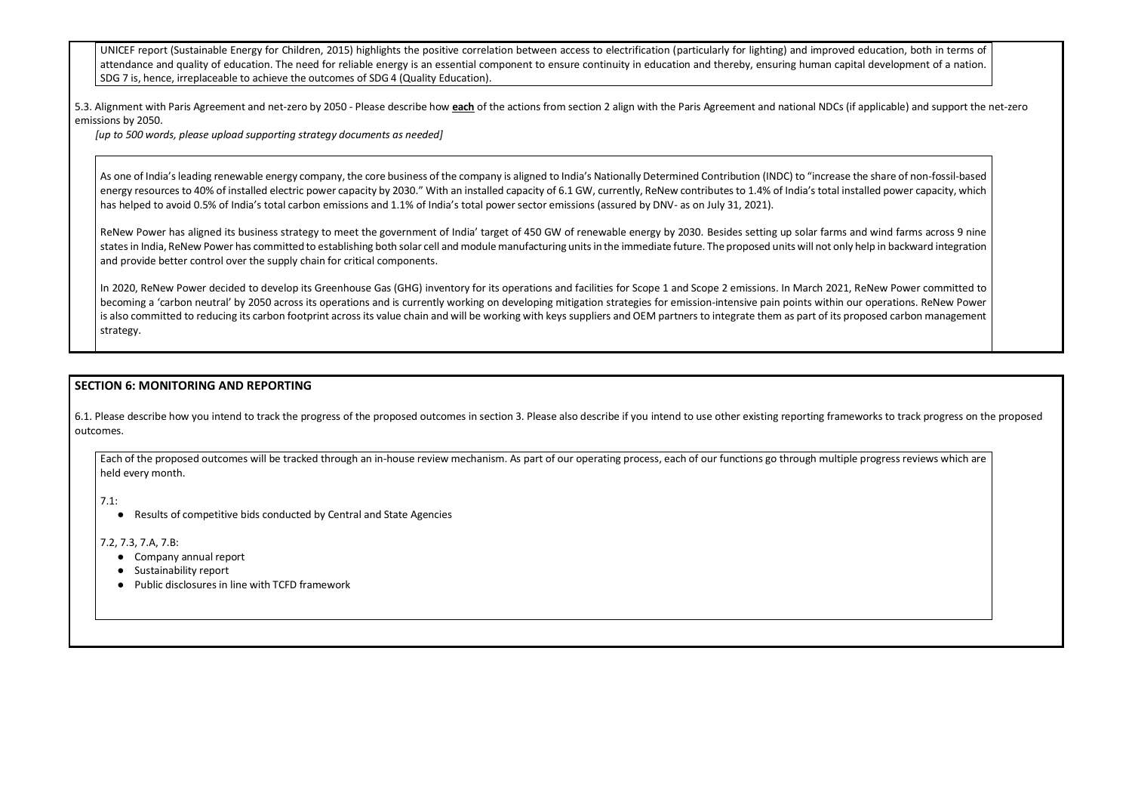UNICEF report (Sustainable Energy for Children, 2015) highlights the positive correlation between access to electrification (particularly for lighting) and improved attendance and quality of education. The need for reliable energy is an essential component to ensure continuity in education and thereby, ensuring human capit SDG 7 is, hence, irreplaceable to achieve the outcomes of SDG 4 (Quality Education).

5.3. Alignment with Paris Agreement and net-zero by 2050 - Please describe how **each** of the actions from section 2 align with the Paris Agreement and national NDCs (if emissions by 2050.

As one of India's leading renewable energy company, the core business of the company is aligned to India's Nationally Determined Contribution (INDC) to "increase t energy resources to 40% of installed electric power capacity by 2030." With an installed capacity of 6.1 GW, currently, ReNew contributes to 1.4% of India's total inst has helped to avoid 0.5% of India's total carbon emissions and 1.1% of India's total power sector emissions (assured by DNV- as on July 31, 2021).

*[up to 500 words, please upload supporting strategy documents as needed]* 

ReNew Power has aligned its business strategy to meet the government of India' target of 450 GW of renewable energy by 2030. Besides setting up solar farms and ReNew Fower has aligned its business strategy to meet the gove states in India, ReNew Power has committed to establishing both solar cell and module manufacturing units in the immediate future. The proposed units will not only and provide better control over the supply chain for critical components.

In 2020, ReNew Power decided to develop its Greenhouse Gas (GHG) inventory for its operations and facilities for Scope 1 and Scope 2 emissions. In March 2021, becoming a 'carbon neutral' by 2050 across its operations and is currently working on developing mitigation strategies for emission-intensive pain points within our is also committed to reducing its carbon footprint across its value chain and will be working with keys suppliers and OEM partners to integrate them as part of its pro strategy.

6.1. Please describe how you intend to track the progress of the proposed outcomes in section 3. Please also describe if you intend to use other existing reporting framew outcomes.

Each of the proposed outcomes will be tracked through an in-house review mechanism. As part of our operating process, each of our functions go through multiple held every month.

## **SECTION 6: MONITORING AND REPORTING**

7.1:

● Results of competitive bids conducted by Central and State Agencies

7.2, 7.3, 7.A, 7.B:

- Company annual report
- Sustainability report
- Public disclosures in line with TCFD framework

| education, both in terms of<br>tal development of a nation.                               |  |
|-------------------------------------------------------------------------------------------|--|
| f applicable) and support the net-zero                                                    |  |
| the share of non-fossil-based<br>talled power capacity, which                             |  |
| nd wind farms across 9 nine<br>help in backward integration                               |  |
| <b>ReNew Power committed to</b><br>ur operations. ReNew Power<br>oposed carbon management |  |

| works to track progress on the proposed |  |  |  |  |
|-----------------------------------------|--|--|--|--|
| e progress reviews which are            |  |  |  |  |
|                                         |  |  |  |  |
|                                         |  |  |  |  |
|                                         |  |  |  |  |
|                                         |  |  |  |  |
|                                         |  |  |  |  |
|                                         |  |  |  |  |
|                                         |  |  |  |  |
|                                         |  |  |  |  |
|                                         |  |  |  |  |
|                                         |  |  |  |  |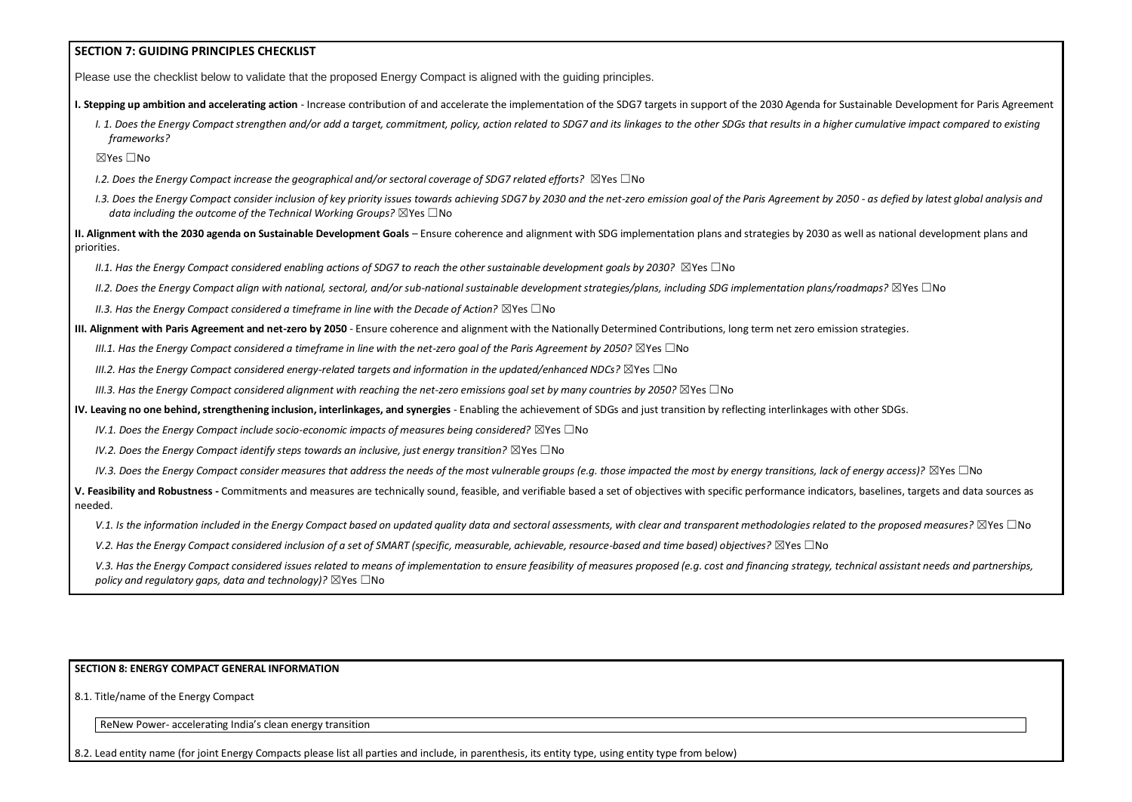## **SECTION 7: GUIDING PRINCIPLES CHECKLIST**

Please use the checklist below to validate that the proposed Energy Compact is aligned with the guiding principles.

- **I. Stepping up ambition and accelerating action** Increase contribution of and accelerate the implementation of the SDG7 targets in support of the 2030 Agenda for Sust
	- I. 1. Does the Energy Compact strengthen and/or add a target, commitment, policy, action related to SDG7 and its linkages to the other SDGs that results in a higher *frameworks?*

- *I.2. Does the Energy Compact increase the geographical and/or sectoral coverage of SDG7 related efforts?* ☒Yes ☐No
- *I.3. Does the Energy Compact consider inclusion of key priority issues towards achieving SDG7 by 2030 and the net-zero emission goal of the Paris Agreement by 2050 data including the outcome of the Technical Working Groups?* ⊠Yes □No

☒Yes ☐No

**II. Alignment with the 2030 agenda on Sustainable Development Goals** – Ensure coherence and alignment with SDG implementation plans and strategies by 2030 as we priorities.

*II.1. Has the Energy Compact considered enabling actions of SDG7 to reach the other sustainable development goals by 2030?* ⊠Yes □No

*II.2. Does the Energy Compact align with national, sectoral, and/or sub-national sustainable development strategies/plans, including SDG implementation plans/road* 

*II.3. Has the Energy Compact considered a timeframe in line with the Decade of Action?* ⊠Yes □No

## **III. Alignment with Paris Agreement and net-zero by 2050** - Ensure coherence and alignment with the Nationally Determined Contributions, long term net zero emission

*III.1. Has the Energy Compact considered a timeframe in line with the net-zero goal of the Paris Agreement by 2050?* ⊠Yes □No

*III.2. Has the Energy Compact considered energy-related targets and information in the updated/enhanced NDCs?* ⊠Yes □No

*III.3. Has the Energy Compact considered alignment with reaching the net-zero emissions goal set by many countries by 2050?* ⊠Yes □No

**IV. Leaving no one behind, strengthening inclusion, interlinkages, and synergies** - Enabling the achievement of SDGs and just transition by reflecting interlinkages with other

*IV.1. Does the Energy Compact include socio-economic impacts of measures being considered?* ⊠Yes □No

*IV.2. Does the Energy Compact identify steps towards an inclusive, just energy transition?* ⊠Yes □No

*IV.3. Does the Energy Compact consider measures that address the needs of the most vulnerable groups (e.g. those impacted the most by energy transitions, lack of energy access). In the sympacted the most by energy transit* 

V. Feasibility and Robustness - Commitments and measures are technically sound, feasible, and verifiable based a set of objectives with specific performance indicators, needed.

V.1. Is the information included in the Energy Compact based on updated quality data and sectoral assessments, with clear and transparent methodologies related to

*V.2. Has the Energy Compact considered inclusion of a set of SMART (specific, measurable, achievable, resource-based and time based) objectives?* ⊠Yes □No

V.3. Has the Energy Compact considered issues related to means of implementation to ensure feasibility of measures proposed (e.g. cost and financing strategy, technical assume here issues related by measureships, *and part policy and regulatory gaps, data and technology)?* ⊠Yes □No

#### **SECTION 8: ENERGY COMPACT GENERAL INFORMATION**

8.1. Title/name of the Energy Compact

ReNew Power- accelerating India's clean energy transition

8.2. Lead entity name (for joint Energy Compacts please list all parties and include, in parenthesis, its entity type, using entity type from below)

| tainable Development for Paris Agreement<br>cumulative impact compared to existing |
|------------------------------------------------------------------------------------|
|                                                                                    |
| 0 - as defied by latest global analysis and                                        |
| ell as national development plans and                                              |
| <i>lmaps?</i> ⊠Yes □No                                                             |
| strategies.                                                                        |
| other SDGs.                                                                        |
| $energy$ access)? $\boxtimes$ Yes $\Box$ No                                        |
| baselines, targets and data sources as                                             |
| $\mathfrak o$ the proposed measures? $\boxtimes$ Yes $\Box$ No                     |
| nical assistant needs and partnerships,                                            |